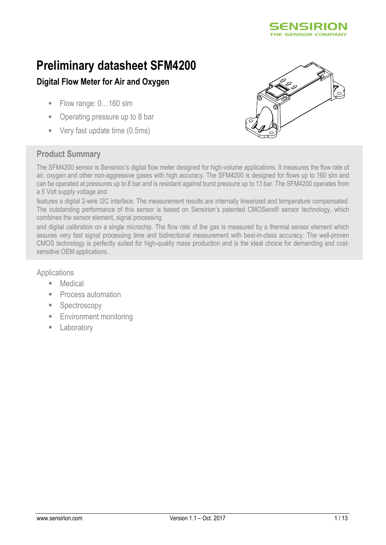

# **Preliminary datasheet SFM4200**

# **Digital Flow Meter for Air and Oxygen**

- Flow range:  $0...160$  slm
- Operating pressure up to 8 bar
- Very fast update time (0.5ms)



# **Product Summary**

The SFM4200 sensor is Sensirion's digital flow meter designed for high-volume applications. It measures the flow rate of air, oxygen and other non-aggressive gases with high accuracy. The SFM4200 is designed for flows up to 160 slm and can be operated at pressures up to 8 bar and is resistant against burst pressure up to 13 bar. The SFM4200 operates from a 5 Volt supply voltage and

features a digital 2-wire I2C interface. The measurement results are internally linearized and temperature compensated. The outstanding performance of this sensor is based on Sensirion's patented CMOSens® sensor technology, which combines the sensor element, signal processing

and digital calibration on a single microchip. The flow rate of the gas is measured by a thermal sensor element which assures very fast signal processing time and bidirectional measurement with best-in-class accuracy. The well-proven CMOS technology is perfectly suited for high-quality mass production and is the ideal choice for demanding and costsensitive OEM applications.

## **Applications**

- **Medical**
- Process automation
- Spectroscopy
- **Environment monitoring**
- **E** Laboratory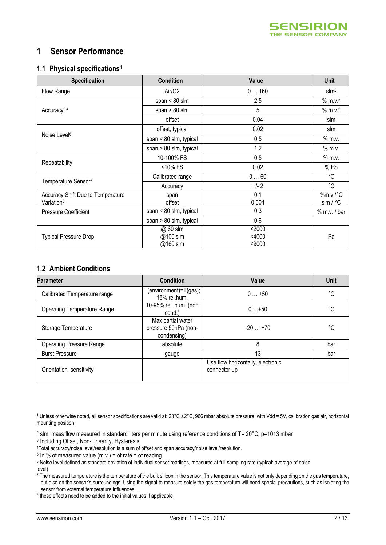<span id="page-1-0"></span>

# **1 Sensor Performance**

#### **1.1 Physical specifications<sup>1</sup>**

| <b>Specification</b>                                        | <b>Condition</b>                 | Value                        | <b>Unit</b>                     |
|-------------------------------------------------------------|----------------------------------|------------------------------|---------------------------------|
| Flow Range                                                  | Air/O2                           | 0160                         | $\text{slm}^2$                  |
|                                                             | span $< 80$ slm                  | 2.5                          | $%$ m.v. <sup>5</sup>           |
| Accuracy <sup>3,4</sup>                                     | span $> 80$ slm                  | 5                            | % m.v.5                         |
|                                                             | offset                           | 0.04                         | slm                             |
|                                                             | offset, typical                  | 0.02                         | slm                             |
| Noise Level <sup>6</sup>                                    | span $< 80$ slm, typical         | 0.5                          | $%$ m.v.                        |
|                                                             | span $> 80$ slm, typical         | 1.2                          | $%$ m.v.                        |
|                                                             | 10-100% FS                       | 0.5                          | $%$ m.v.                        |
| Repeatability                                               | <10% FS                          | 0.02                         | %FS                             |
|                                                             | Calibrated range                 | 060                          | °C                              |
| Temperature Sensor7                                         | Accuracy                         | $+/-2$                       | $^{\circ}$ C                    |
| Accuracy Shift Due to Temperature<br>Variation <sup>8</sup> | span<br>offset                   | 0.1<br>0.004                 | %m.v./°C<br>$slm / {}^{\circ}C$ |
| <b>Pressure Coefficient</b>                                 | span $< 80$ slm, typical         | 0.3                          | $%$ m.v. / bar                  |
|                                                             | span > 80 slm, typical           | 0.6                          |                                 |
| <b>Typical Pressure Drop</b>                                | @ 60 slm<br>@100 slm<br>@160 slm | $2000$<br>$<$ 4000<br>$9000$ | Pa                              |

### **1.2 Ambient Conditions**

| <b>Parameter</b>                   | <b>Condition</b>                                         | Value                                             | <b>Unit</b> |
|------------------------------------|----------------------------------------------------------|---------------------------------------------------|-------------|
| Calibrated Temperature range       | $T$ (environment)= $T$ (gas);<br>15% rel.hum.            | $0+50$                                            | °C          |
| <b>Operating Temperature Range</b> | 10-95% rel. hum. (non<br>cond.)                          | $0+50$                                            | °C          |
| Storage Temperature                | Max partial water<br>pressure 50hPa (non-<br>condensing) | $-20+70$                                          | °C          |
| <b>Operating Pressure Range</b>    | absolute                                                 | 8                                                 | bar         |
| <b>Burst Pressure</b>              | gauge                                                    | 13                                                | bar         |
| Orientation sensitivity            |                                                          | Use flow horizontally, electronic<br>connector up |             |

1 Unless otherwise noted, all sensor specifications are valid at:  $23^{\circ}$ C  $\pm 2^{\circ}$ C, 966 mbar absolute pressure, with Vdd = 5V, calibration gas air, horizontal mounting position

<sup>2</sup> slm: mass flow measured in standard liters per minute using reference conditions of T= 20°C, p=1013 mbar

3 Including Offset, Non-Linearity, Hysteresis

<sup>4</sup>Total accuracy/noise level/resolution is a sum of offset and span accuracy/noise level/resolution.

 $5 \ln \%$  of measured value (m.v.) = of rate = of reading

<sup>6</sup> Noise level defined as standard deviation of individual sensor readings, measured at full sampling rate (typical: average of noise level)

<sup>7</sup> The measured temperature is the temperature of the bulk silicon in the sensor. This temperature value is not only depending on the gas temperature, but also on the sensor's surroundings. Using the signal to measure solely the gas temperature will need special precautions, such as isolating the sensor from external temperature influences.

<sup>8</sup> these effects need to be added to the initial values if applicable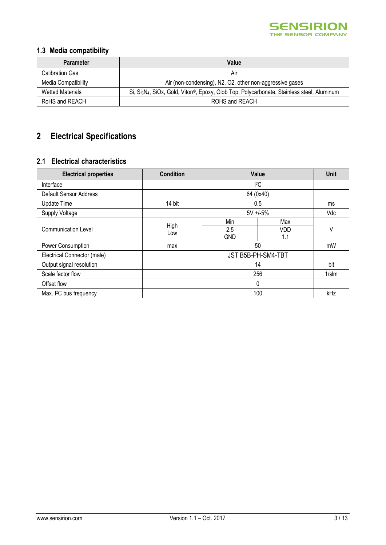

# **1.3 Media compatibility**

| <b>Parameter</b>        | Value                                                                                                                           |
|-------------------------|---------------------------------------------------------------------------------------------------------------------------------|
| Calibration Gas         | Air                                                                                                                             |
| Media Compatibility     | Air (non-condensing), N2, O2, other non-aggressive gases                                                                        |
| <b>Wetted Materials</b> | Si, Si <sub>3</sub> N <sub>4</sub> , SiOx, Gold, Viton <sup>®</sup> , Epoxy, Glob Top, Polycarbonate, Stainless steel, Aluminum |
| RoHS and REACH          | ROHS and REACH                                                                                                                  |

# **2 Electrical Specifications**

## **2.1 Electrical characteristics**

| <b>Electrical properties</b>        | <b>Condition</b> |                    | <b>Value</b> |          |
|-------------------------------------|------------------|--------------------|--------------|----------|
| Interface                           |                  |                    | 2C           |          |
| <b>Default Sensor Address</b>       |                  |                    | 64 (0x40)    |          |
| <b>Update Time</b>                  | 14 bit           |                    | 0.5          |          |
| <b>Supply Voltage</b>               |                  | $5V + 5%$          |              | Vdc      |
|                                     | High             | Min                | Max          |          |
| <b>Communication Level</b>          | Low              | 2.5                | <b>VDD</b>   | ٧        |
|                                     |                  | <b>GND</b>         | 1.1          |          |
| Power Consumption                   | max              | 50                 |              | mW       |
| Electrical Connector (male)         |                  | JST B5B-PH-SM4-TBT |              |          |
| Output signal resolution            |                  | 14                 |              | bit      |
| Scale factor flow                   |                  | 256                |              | $1/s$ Im |
| Offset flow                         |                  | $\Omega$           |              |          |
| Max. I <sup>2</sup> C bus frequency |                  | 100                |              | kHz      |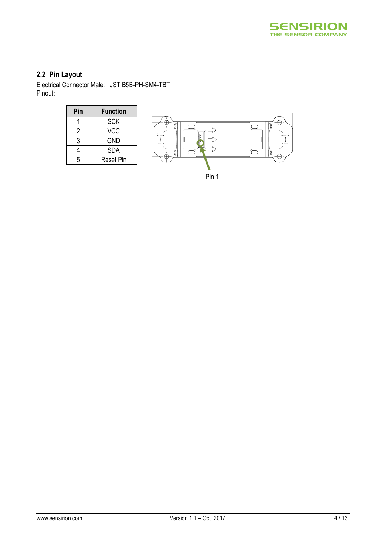

# **2.2 Pin Layout**

Electrical Connector Male: JST B5B-PH-SM4-TBT Pinout:

| Pin | <b>Function</b>  |
|-----|------------------|
|     | <b>SCK</b>       |
| 2   | VCC              |
| 3   | GND              |
|     | <b>SDA</b>       |
| 5   | <b>Reset Pin</b> |



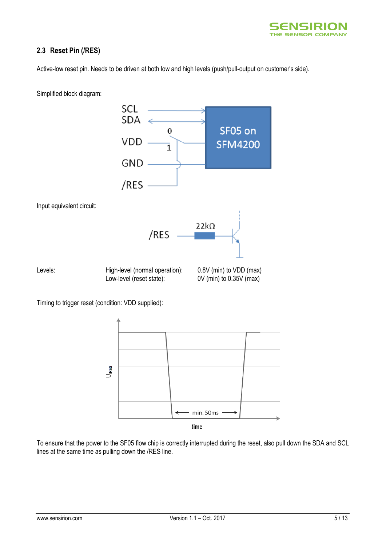

## **2.3 Reset Pin (/RES)**

Active-low reset pin. Needs to be driven at both low and high levels (push/pull-output on customer's side).



Simplified block diagram:

time

min. 50ms

To ensure that the power to the SF05 flow chip is correctly interrupted during the reset, also pull down the SDA and SCL lines at the same time as pulling down the /RES line.

 $\leftarrow$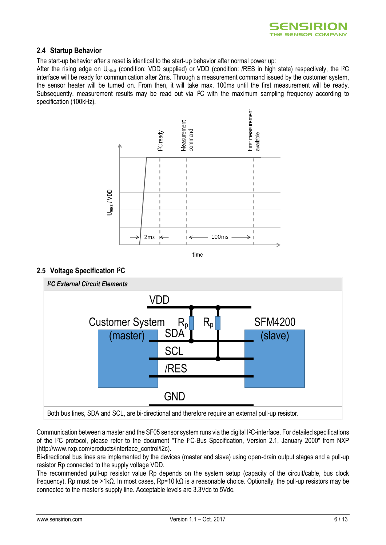

## **2.4 Startup Behavior**

The start-up behavior after a reset is identical to the start-up behavior after normal power up:

After the rising edge on U<sub>/RES</sub> (condition: VDD supplied) or VDD (condition: /RES in high state) respectively, the I<sup>2</sup>C interface will be ready for communication after 2ms. Through a measurement command issued by the customer system, the sensor heater will be turned on. From then, it will take max. 100ms until the first measurement will be ready. Subsequently, measurement results may be read out via I2C with the maximum sampling frequency according to specification (100kHz).





## **2.5 Voltage Specification I2C**



Communication between a master and the SF05 sensor system runs via the digital I2C-interface. For detailed specifications of the I2C protocol, please refer to the document "The I2C-Bus Specification, Version 2.1, January 2000" from NXP (http://www.nxp.com/products/interface\_control/i2c).

Bi-directional bus lines are implemented by the devices (master and slave) using open-drain output stages and a pull-up resistor Rp connected to the supply voltage VDD.

The recommended pull-up resistor value Rp depends on the system setup (capacity of the circuit/cable, bus clock frequency). Rp must be >1kΩ. In most cases, Rp=10 kΩ is a reasonable choice. Optionally, the pull-up resistors may be connected to the master's supply line. Acceptable levels are 3.3Vdc to 5Vdc.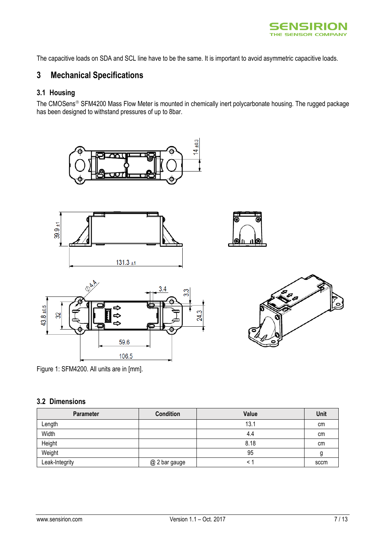

The capacitive loads on SDA and SCL line have to be the same. It is important to avoid asymmetric capacitive loads.

# **3 Mechanical Specifications**

# **3.1 Housing**

The CMOSens<sup>®</sup> SFM4200 Mass Flow Meter is mounted in chemically inert polycarbonate housing. The rugged package has been designed to withstand pressures of up to 8bar.







Figure 1: SFM4200. All units are in [mm].

## **3.2 Dimensions**

| <b>Parameter</b> | <b>Condition</b> | Value | Unit |
|------------------|------------------|-------|------|
| Length           |                  | 13.1  | cm   |
| Width            |                  | 4.4   | cm   |
| Height           |                  | 8.18  | cm   |
| Weight           |                  | 95    |      |
| Leak-Integrity   | @ 2 bar gauge    |       | sccm |

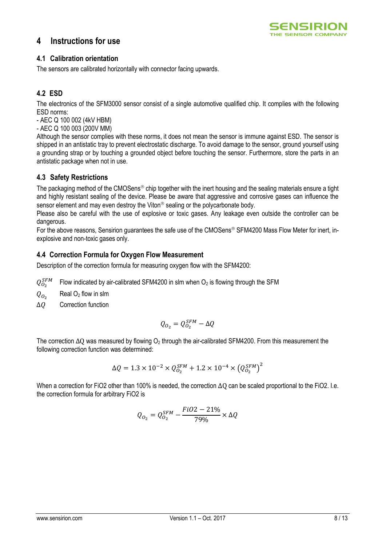## **4 Instructions for use**



#### **4.1 Calibration orientation**

The sensors are calibrated horizontally with connector facing upwards.

## **4.2 ESD**

The electronics of the SFM3000 sensor consist of a single automotive qualified chip. It complies with the following ESD norms:

- AEC Q 100 002 (4kV HBM)

- AEC Q 100 003 (200V MM)

Although the sensor complies with these norms, it does not mean the sensor is immune against ESD. The sensor is shipped in an antistatic tray to prevent electrostatic discharge. To avoid damage to the sensor, ground yourself using a grounding strap or by touching a grounded object before touching the sensor. Furthermore, store the parts in an antistatic package when not in use.

## **4.3 Safety Restrictions**

The packaging method of the CMOSens<sup>®</sup> chip together with the inert housing and the sealing materials ensure a tight and highly resistant sealing of the device. Please be aware that aggressive and corrosive gases can influence the sensor element and may even destroy the Viton<sup>®</sup> sealing or the polycarbonate body.

Please also be careful with the use of explosive or toxic gases. Any leakage even outside the controller can be dangerous.

For the above reasons, Sensirion guarantees the safe use of the CMOSens<sup>®</sup> SFM4200 Mass Flow Meter for inert, inexplosive and non-toxic gases only.

## **4.4 Correction Formula for Oxygen Flow Measurement**

Description of the correction formula for measuring oxygen flow with the SFM4200:

 $Q_{O_2}^{SFM}$ Flow indicated by air-calibrated SFM4200 in slm when  $O<sub>2</sub>$  is flowing through the SFM

 $Q_{O_2}$ Real  $O<sub>2</sub>$  flow in slm

 $\Delta O$  Correction function

$$
Q_{O_2} = Q_{O_2}^{SFM} - \Delta Q
$$

The correction  $\Delta$ O was measured by flowing  $O_2$  through the air-calibrated SFM4200. From this measurement the following correction function was determined:

$$
\Delta Q = 1.3 \times 10^{-2} \times Q_{O_2}^{SFM} + 1.2 \times 10^{-4} \times (Q_{O_2}^{SFM})^2
$$

When a correction for FiO2 other than 100% is needed, the correction ΔQ can be scaled proportional to the FiO2. I.e. the correction formula for arbitrary FiO2 is

$$
Q_{O_2} = Q_{O_2}^{SFM} - \frac{FiO2 - 21\%}{79\%} \times \Delta Q
$$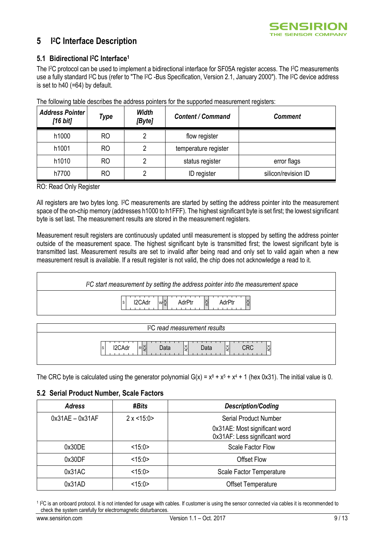

#### **5 I <sup>2</sup>C Interface Description**

## **5.1 Bidirectional I2C Interface<sup>1</sup>**

The I<sup>2</sup>C protocol can be used to implement a bidirectional interface for SF05A register access. The I<sup>2</sup>C measurements use a fully standard I2C bus (refer to "The I2C -Bus Specification, Version 2.1, January 2000"). The I2C device address is set to h40 (=64) by default.

| <b>Address Pointer</b><br>$[16 \text{ bit}]$ | Type           | <b>Width</b><br>[Byte] | <b>Content / Command</b> | <b>Comment</b>      |
|----------------------------------------------|----------------|------------------------|--------------------------|---------------------|
| h1000                                        | RO             |                        | flow register            |                     |
| h1001                                        | R <sub>O</sub> |                        | temperature register     |                     |
| h1010                                        | RO             | റ                      | status register          | error flags         |
| h7700                                        | RO             |                        | ID register              | silicon/revision ID |

The following table describes the address pointers for the supported measurement registers:

RO: Read Only Register

All registers are two bytes long. I2C measurements are started by setting the address pointer into the measurement space of the on-chip memory (addresses h1000 to h1FFF). The highest significant byte is set first; the lowest significant byte is set last. The measurement results are stored in the measurement registers.

Measurement result registers are continuously updated until measurement is stopped by setting the address pointer outside of the measurement space. The highest significant byte is transmitted first; the lowest significant byte is transmitted last. Measurement results are set to invalid after being read and only set to valid again when a new measurement result is available. If a result register is not valid, the chip does not acknowledge a read to it.



| ১<br><b>IZUAJI</b> | v.<br>$R \bar{C}_1$<br>υαια | ΙŠΚ<br>Data | Iğ<br>Iş<br>مەس |  |
|--------------------|-----------------------------|-------------|-----------------|--|
|                    |                             |             |                 |  |

The CRC byte is calculated using the generator polynomial  $G(x) = x^8 + x^5 + x^4 + 1$  (hex 0x31). The initial value is 0.

#### **5.2 Serial Product Number, Scale Factors**

| <b>Adress</b>     | #Bits           | <b>Description/Coding</b>                                      |
|-------------------|-----------------|----------------------------------------------------------------|
| $0x31AE - 0x31AF$ | $2 \times 15:0$ | <b>Serial Product Number</b>                                   |
|                   |                 | 0x31AE: Most significant word<br>0x31AF: Less significant word |
| 0x30DE            | <15:0>          | <b>Scale Factor Flow</b>                                       |
| 0x30DF            | <15:0>          | <b>Offset Flow</b>                                             |
| 0x31AC            | <15:0>          | Scale Factor Temperature                                       |
| 0x31AD            | <15:0>          | <b>Offset Temperature</b>                                      |

<sup>&</sup>lt;sup>1</sup> <sup>12</sup>C is an onboard protocol. It is not intended for usage with cables. If customer is using the sensor connected via cables it is recommended to check the system carefully for electromagnetic disturbances.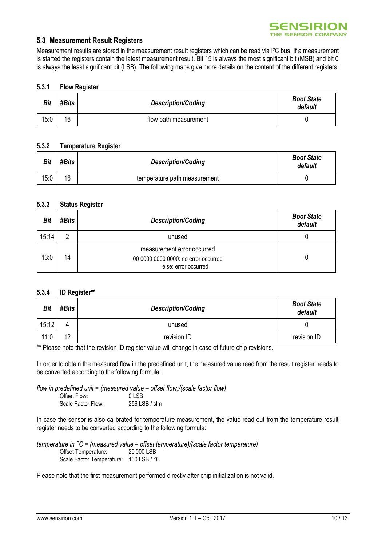#### **5.3 Measurement Result Registers**

Measurement results are stored in the measurement result registers which can be read via I2C bus. If a measurement is started the registers contain the latest measurement result. Bit 15 is always the most significant bit (MSB) and bit 0 is always the least significant bit (LSB). The following maps give more details on the content of the different registers:

#### **5.3.1 Flow Register**

| <b>Bit</b> | #Bits | <b>Description/Coding</b> | <b>Boot State</b><br>default |
|------------|-------|---------------------------|------------------------------|
| 15:0       | 16    | flow path measurement     |                              |

#### **5.3.2 Temperature Register**

| <b>Bit</b> | #Bits | <b>Description/Coding</b>    | <b>Boot State</b><br>default |
|------------|-------|------------------------------|------------------------------|
| 15:0       | 16    | temperature path measurement |                              |

#### **5.3.3 Status Register**

| Bit   | #Bits | <b>Description/Coding</b>                                                                  | <b>Boot State</b><br>default |
|-------|-------|--------------------------------------------------------------------------------------------|------------------------------|
| 15:14 | 2     | unused                                                                                     |                              |
| 13:0  | 14    | measurement error occurred<br>00 0000 0000 0000: no error occurred<br>else: error occurred |                              |

#### **5.3.4 ID Register\*\***

| Bit   | #Bits | <b>Description/Coding</b> | <b>Boot State</b><br>default |
|-------|-------|---------------------------|------------------------------|
| 15:12 | 4     | unused                    |                              |
| 11:0  | 12    | revision ID               | revision ID                  |

\*\* Please note that the revision ID register value will change in case of future chip revisions.

In order to obtain the measured flow in the predefined unit, the measured value read from the result register needs to be converted according to the following formula:

*flow in predefined unit = (measured value – offset flow)/(scale factor flow)* Offset Flow: 0 LSB<br>Scale Factor Flow: 256 LSB / slm Scale Factor Flow:

In case the sensor is also calibrated for temperature measurement, the value read out from the temperature result register needs to be converted according to the following formula:

*temperature in °C = (measured value – offset temperature)/(scale factor temperature)* Offset Temperature: 20'000 LSB Scale Factor Temperature: 100 LSB / °C

Please note that the first measurement performed directly after chip initialization is not valid.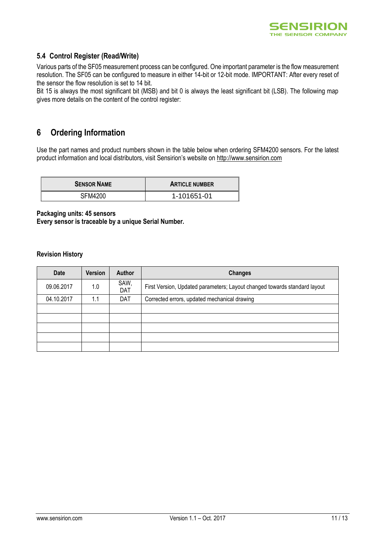

## **5.4 Control Register (Read/Write)**

Various parts of the SF05 measurement process can be configured. One important parameter is the flow measurement resolution. The SF05 can be configured to measure in either 14-bit or 12-bit mode. IMPORTANT: After every reset of the sensor the flow resolution is set to 14 bit.

Bit 15 is always the most significant bit (MSB) and bit 0 is always the least significant bit (LSB). The following map gives more details on the content of the control register:

# **6 Ordering Information**

Use the part names and product numbers shown in the table below when ordering SFM4200 sensors. For the latest product information and local distributors, visit Sensirion's website on http://www.sensirion.com

| <b>SENSOR NAME</b> | <b>ARTICLE NUMBER</b> |
|--------------------|-----------------------|
| SFM4200            | 1-101651-01           |

**Packaging units: 45 sensors Every sensor is traceable by a unique Serial Number.**

#### **Revision History**

| <b>Date</b> | Version | <b>Author</b> | <b>Changes</b>                                                            |
|-------------|---------|---------------|---------------------------------------------------------------------------|
| 09.06.2017  | 1.0     | SAW,<br>DAT   | First Version, Updated parameters; Layout changed towards standard layout |
| 04.10.2017  | 1.1     | DAT           | Corrected errors, updated mechanical drawing                              |
|             |         |               |                                                                           |
|             |         |               |                                                                           |
|             |         |               |                                                                           |
|             |         |               |                                                                           |
|             |         |               |                                                                           |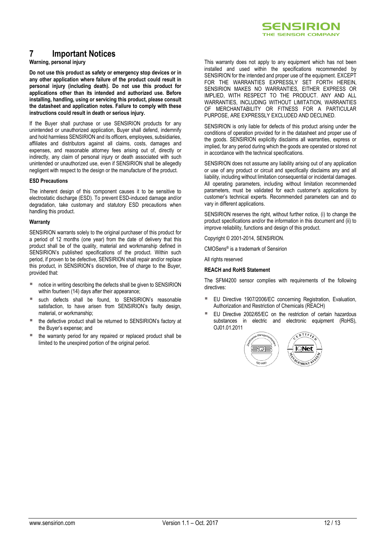

# **7 Important Notices**

#### **Warning, personal injury**

**Do not use this product as safety or emergency stop devices or in any other application where failure of the product could result in personal injury (including death). Do not use this product for applications other than its intended and authorized use. Before installing, handling, using or servicing this product, please consult the datasheet and application notes. Failure to comply with these instructions could result in death or serious injury.**

If the Buyer shall purchase or use SENSIRION products for any unintended or unauthorized application, Buyer shall defend, indemnify and hold harmless SENSIRION and its officers, employees, subsidiaries, affiliates and distributors against all claims, costs, damages and expenses, and reasonable attorney fees arising out of, directly or indirectly, any claim of personal injury or death associated with such unintended or unauthorized use, even if SENSIRION shall be allegedly negligent with respect to the design or the manufacture of the product.

#### **ESD Precautions**

The inherent design of this component causes it to be sensitive to electrostatic discharge (ESD). To prevent ESD-induced damage and/or degradation, take customary and statutory ESD precautions when handling this product.

#### **Warranty**

SENSIRION warrants solely to the original purchaser of this product for a period of 12 months (one year) from the date of delivery that this product shall be of the quality, material and workmanship defined in SENSIRION's published specifications of the product. Within such period, if proven to be defective, SENSIRION shall repair and/or replace this product, in SENSIRION's discretion, free of charge to the Buyer, provided that:

- notice in writing describing the defects shall be given to SENSIRION within fourteen (14) days after their appearance;
- such defects shall be found, to SENSIRION's reasonable satisfaction, to have arisen from SENSIRION's faulty design, material, or workmanship;
- the defective product shall be returned to SENSIRION's factory at the Buyer's expense; and
- $\blacksquare$  the warranty period for any repaired or replaced product shall be limited to the unexpired portion of the original period.

This warranty does not apply to any equipment which has not been installed and used within the specifications recommended by SENSIRION for the intended and proper use of the equipment. EXCEPT FOR THE WARRANTIES EXPRESSLY SET FORTH HEREIN, SENSIRION MAKES NO WARRANTIES, EITHER EXPRESS OR IMPLIED, WITH RESPECT TO THE PRODUCT. ANY AND ALL WARRANTIES, INCLUDING WITHOUT LIMITATION, WARRANTIES OF MERCHANTABILITY OR FITNESS FOR A PARTICULAR PURPOSE, ARE EXPRESSLY EXCLUDED AND DECLINED.

SENSIRION is only liable for defects of this product arising under the conditions of operation provided for in the datasheet and proper use of the goods. SENSIRION explicitly disclaims all warranties, express or implied, for any period during which the goods are operated or stored not in accordance with the technical specifications.

SENSIRION does not assume any liability arising out of any application or use of any product or circuit and specifically disclaims any and all liability, including without limitation consequential or incidental damages. All operating parameters, including without limitation recommended parameters, must be validated for each customer's applications by customer's technical experts. Recommended parameters can and do vary in different applications.

SENSIRION reserves the right, without further notice, (i) to change the product specifications and/or the information in this document and (ii) to improve reliability, functions and design of this product.

Copyright © 2001-2014, SENSIRION.

CMOSens® is a trademark of Sensirion

All rights reserved

#### **REACH and RoHS Statement**

The SFM4200 sensor complies with requirements of the following directives:

- EU Directive 1907/2006/EC concerning Registration, Evaluation, Authorization and Restriction of Chemicals (REACH)
- EU Directive 2002/65/EC on the restriction of certain hazardous substances in electric and electronic equipment (RoHS), OJ01.01.2011